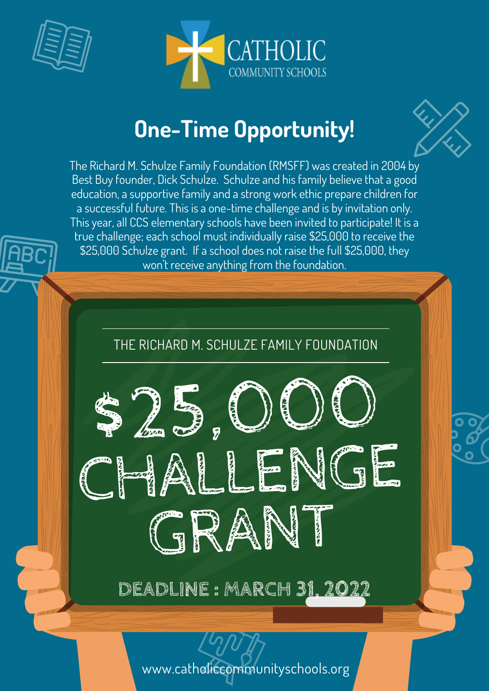



## **One-Time Opportunity!**

The Richard M. Schulze Family Foundation (RMSFF) was created in 2004 by Best Buy founder, Dick Schulze. Schulze and his family believe that a good education, a supportive family and a strong work ethic prepare children for a successful future. This is a one-time challenge and is by invitation only. This year, all CCS elementary schools have been invited to participate! It is a true challenge; each school must individually raise \$25,000 to receive the \$25,000 Schulze grant. If a school does not raise the full \$25,000, they won't receive anything from the foundation.



www.catholiccommunityschools.org